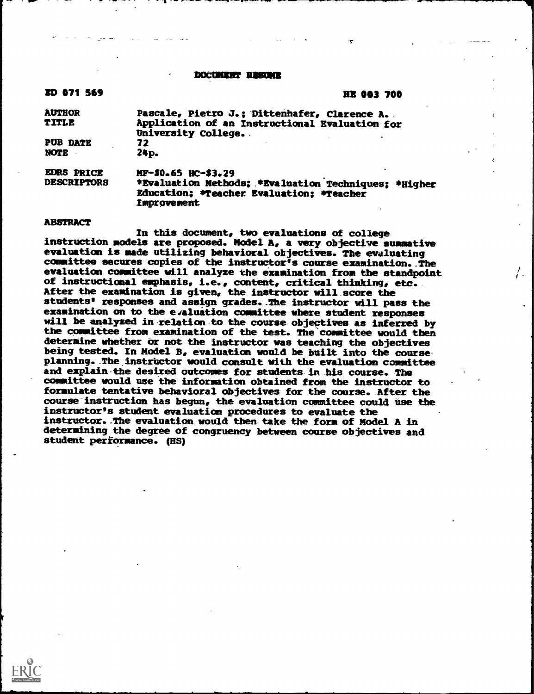#### DOCUMINT-RESUME

| n<br>и | т<br>17 A |  |
|--------|-----------|--|
|        |           |  |

#### **HR 003 700**

-r

| <b>AUTHOR</b><br>TITLE                  | Pascale, Pietro J.; Dittenhafer, Clarence A.<br>Application of an Instructional Evaluation for<br>University College.                         |
|-----------------------------------------|-----------------------------------------------------------------------------------------------------------------------------------------------|
| <b>PUB DATE</b><br><b>NOTE</b>          | 72<br>24p.                                                                                                                                    |
| <b>EDRS PRICE</b><br><b>DESCRIPTORS</b> | MF-\$0.65 HC-\$3.29<br>*Evaluation Methods; *Evaluation Techniques; *Higher<br>Education: *Teacher Evaluation: *Teacher<br><b>Improvement</b> |

#### ABSTRACT

In this document, two evaluations of college instruction models are proposed. Model A, a very objective summative evaluation is made utilizing behavioral objectives. The evaluating committee secures copies of the instructor's course examination.. The evaluation committee will analyze the examination from the standpoint of instructional emphasis, i.e., content, critical thinking, etc. After the examination is given, the instructor will score the students' responses and assign grades..The instructor will pass the examination on to the evaluation committee where student responses will be analyzed in relation to the course objectives as inferred by the committee from examination of the test. The committee would then determine whether or not the instructor was teaching the objectives being tested. In Model B, evaluation would be built into the course planning. The instructor would consult with the evaluation committee and explain the desired outcomes for students in his course. The committee would use the information obtained from the instructor to formulate tentative behavioral objectives for the course. After the course instruction has begun, the evaluation committee could use the instructor's student evaluation procedures to evaluate the instructor..The evaluation would then take the form of Model A in determining the degree of congruency between course objectives and student performance. (HS)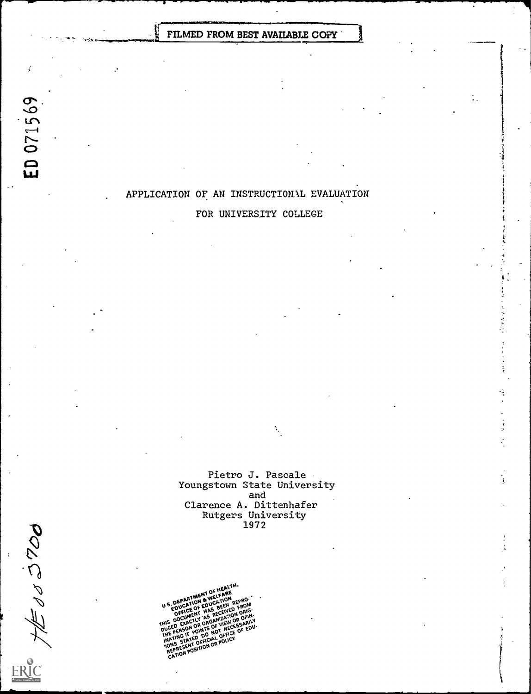FILMED FROM BEST AVAILABLE COPY

# APPLICATION OF AN INSTRUCTIONAL EVALUATION

# FOR UNIVERSITY COLLEGE

Pietro J. Pascale Youngstown State University<br>and and<br>Clarence A. Dittenha Rutgers University<br>1972

ħ,

1

U S. DEPARTMENT OF HEARE<br>U S. DEPARTION & WELFATON<br>EDUCATION EDUCATION REPROY<br>EQUELCE OF HAS BEENED FORIG **a**WELTION GEPRO US EDUCATION CONCERN FROM ORIGINAL AND RECIVED ON OTHER THAN ON CHANGE THE CATALOG OF THE CATALOG OF THE CATALOG OF THE CATALOG OF THE CATALOG OF THE CATALOG OF THE CATALOG OF THE CATALOG OF THE CATALOG OF THE CATALOG OF T THIS DOCUMENT AS RENZATION OPIN-**EDUCE OF THE RECEIVED ORIG-<br>INSPECTED THE RECEIVED ORIG-<br>INSPECTIVE OR OROR VIEW OR OPIN-<br>DUCED EXACTOR OR OF NECESSARILY**<br>THE PERSON OR NOT NO NOT NECE OF EDU-<br>THE PERSON OR NOT NECE OF EDU-<br>INATING STATED OF FIO AG POLI ION FOR DO NOT NECE OF EUROPENT OF REPRESENT OF FICTION OF POLICY<br>INATING TATED DECICAL OFFICE<br>TONS STATED OF CATION OF POLICY<br>CATION POSITION OF POLICY<br>CATION POSITION OF

ED 071569

š.

モットロン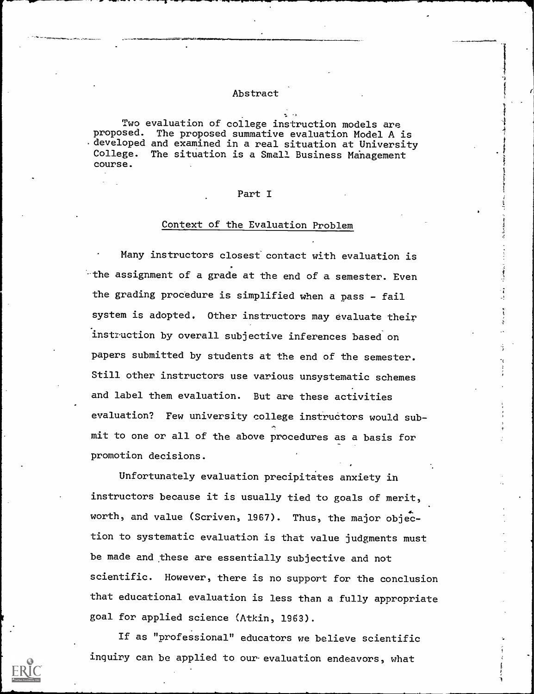## Abstract

Two evaluation of college instruction models are proposed. The proposed summative evaluation Model A is . developed and examined in a real situation at University<br>College. The situation is a Small Business Management The situation is a Small Business Management course.

## Part I

#### Context of the Evaluation Problem

Many instructors closest contact with evaluation is -the assignment of a grade at the end of a semester. Even the grading procedure is simplified when a pass - fail system is adopted. Other instructors may evaluate their instruction by overall subjective inferences based on papers submitted by students at the end of the semester. Still other instructors use various unsystematic schemes and label them evaluation. But are these activities evaluation? Few university college instructors would sub e (1999).<br>1990 - Johann Barnett, amerikansk forbinding.<br>1990 - Johann Barnett, amerikansk forbinding. mit to one or all of the above procedures as a basis for promotion decisions.

Unfortunately evaluation precipitates anxiety in instructors because it is usually tied to goals of merit, worth, and value (Scriven, 1967). Thus, the major objection to systematic evaluation is that value judgments must be made and these are essentially subjective and not scientific. However, there is no support for the conclusion that educational evaluation is less than a fully appropriate goal for applied science (Atkin, 1963).

If as "professional" educators we believe scientific inquiry can be applied to our evaluation endeavors, what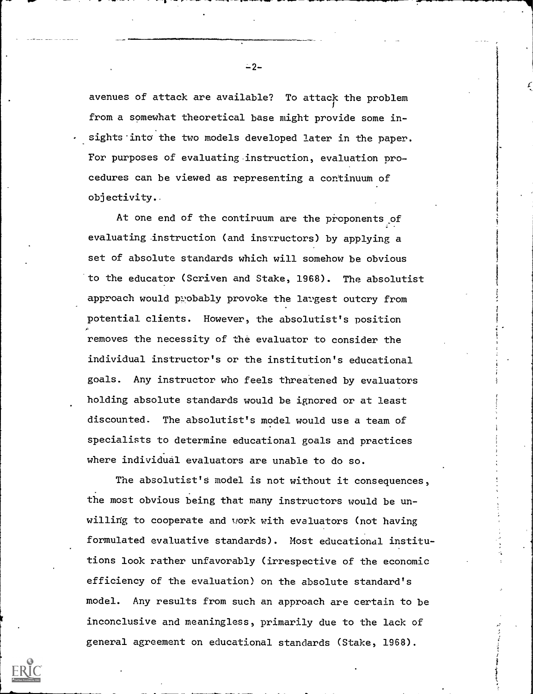avenues of attack are available? To attack the problem from a somewhat theoretical base might provide some insights into the two models developed later in the paper. For purposes of evaluating instruction, evaluation procedures can be viewed as representing a continuum of objectivity.

At one end of the contiruum are the proponents of evaluating instruction (and instructors) by applying a set of absolute standards which will somehow be obvious to the educator (Scriven and Stake, 1968). The absolutist approach would probably provoke the largest outcry from potential clients. However, the absolutist's position removes the necessity of the evaluator to consider the individual instructor's or the institution's educational goals. Any instructor who feels threatened by evaluators holding absolute standards would be ignored or at least discounted. The absolutist's model would use a team of specialists to determine educational goals and practices where individual evaluators are unable to do so.

The absolutist's model is not without it consequences, the most obvious being that many instructors would be unwilling to cooperate and work with evaluators (not having formulated evaluative standards). Most educational institutions look rather unfavorably (irrespective of the economic efficiency of the evaluation) on the absolute standard's model. Any results from such an approach are certain to be inconclusive and meaningless, primarily due to the lack of general agreement on educational standards (Stake, 1968).

 $-2-$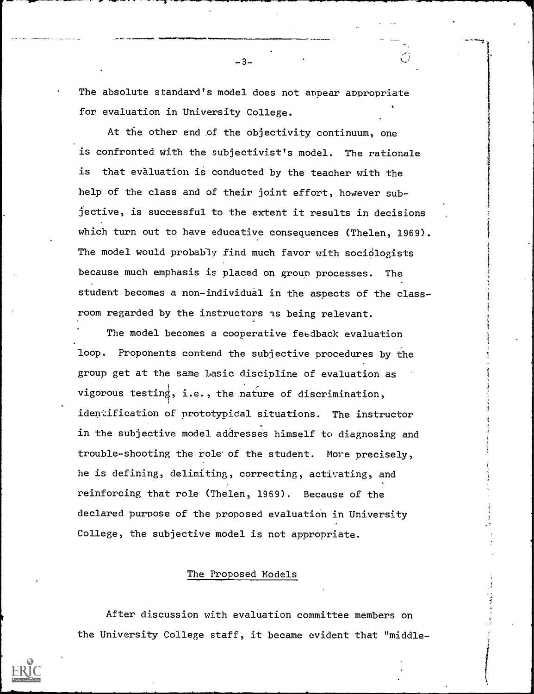The absolute standard's model does not appear appropriate for evaluation in University College.

-3-

At the other end of the objectivity continuum, one is confronted with the subjectivist's model. The rationale is that evaluation is conducted by the teacher with the help of the class and of their joint effort, however subjective, is successful to the extent it results in decisions which turn out to have educative consequences (Thelen, 1969). The model would probably find much favor with sociologists because much emphasis is placed on group processes. The student becomes a non-individual in the aspects of the classroom regarded by the instructors as being relevant.

The model becomes a cooperative feedback evaluation loop. Proponents contend the subjective procedures by the group get at the same basic discipline of evaluation as vigorous testing, i .e., the nature of discrimination, identification of prototypical situations. The instructor in the subjective model addresses himself to diagnosing and trouble-shooting the role'of the student. More precisely, he is defining, delimiting, correcting, activating, and reinforcing that role (Thelen, 1969). Because of the declared purpose of the proposed evaluation in University College, the subjective model is not appropriate.

### The Proposed Models

After discussion with evaluation committee members on the University College staff, it became evident that "middle-

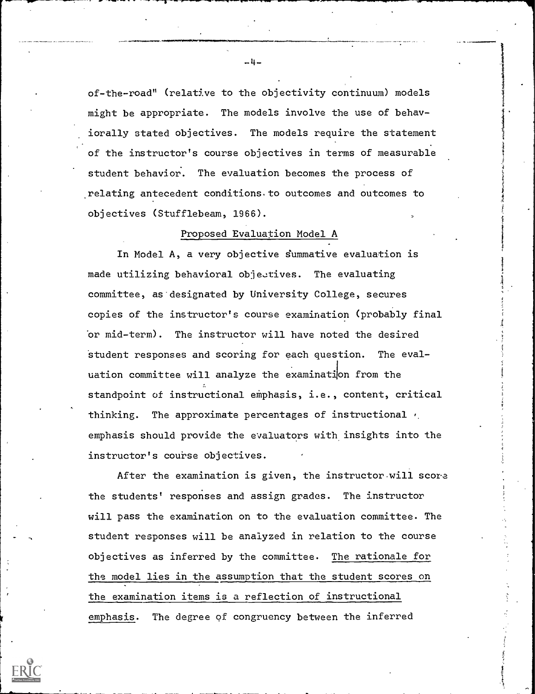of-the-road" (relative to the objectivity continuum) models might be appropriate. The models involve the use of behaviorally stated objectives. The models require the statement of the instructor's course objectives in terms of measurable student behavior. The evaluation becomes the process of relating antecedent conditions to outcomes and outcomes to objectives (Stufflebeam, 1966).

## Proposed Evaluation Model A

In Model A, a very objective summative evaluation is made utilizing behavioral objectives. The evaluating committee, as designated by University College, secures copies of the instructor's course examination (probably final or mid-term). The instructor will have noted the desired student responses and scoring for each question. The evaluation committee will analyze the examination from the standpoint of instructional emphasis, i.e., content, critical thinking. The approximate percentages of instructional  $\epsilon$ emphasis should provide the evaluators with insights into the instructor's course objectives.

After the examination is given, the instructor-will score the students' responses and assign grades. The instructor will pass the examination on to the evaluation committee. The student responses will be analyzed in relation to the course objectives as inferred by the committee. The rationale for the model lies in the assumption that the student scores on the examination items is a reflection of instructional emphasis. The degree of congruency between the inferred

 $-4-$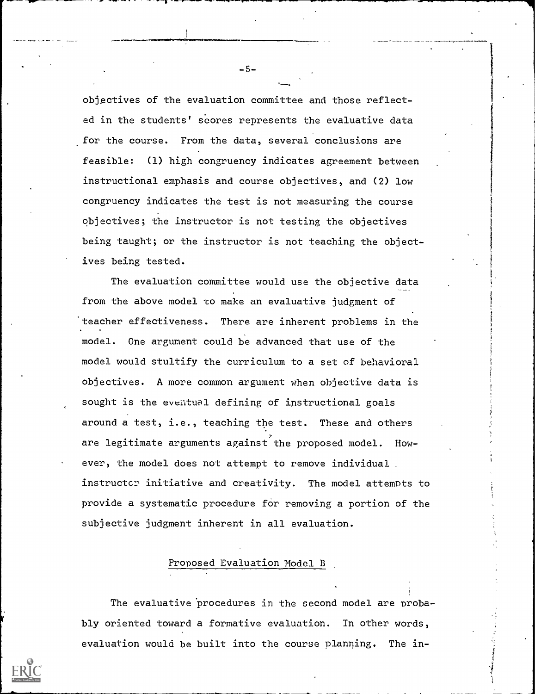objectives of the evaluation committee and those reflected in the student s' scores represents the evaluative data for the course. From the data, several conclusions are feasible: (1) high congruency indicates agreement between instructional emphasis and course objectives, and (2) low congruency i ndicates the test is not measuring the course objectives; the instructor is not testing the objectives being taug ht; or the instructor is not teaching the object-Ives bein g tested.

The evaluation committee would use the objective data from th e above model co make an evaluative judgment of 'teache r effectiveness. There are inherent problems in the model mode 1 would stultify the curriculum to a set of behavioral obi ectives. A more common argument when objective data is s ught is the eventual defining of instructional goals . One argument could be advanced that use of the around a test, i.e., teaching the test. These and others are legitimate arguments against the proposed model. However, the model does not attempt to remove individual instructor initiative and creativity. The model attempts to provide a systematic procedure for removing a portion of the subjective judgment inherent in all evaluation.

# Proposed Evaluation Model B

The evaluative procedures in the second model are probably oriented toward a formative evaluation. In other words, evaluation would be built into the course planning. The in-

-5-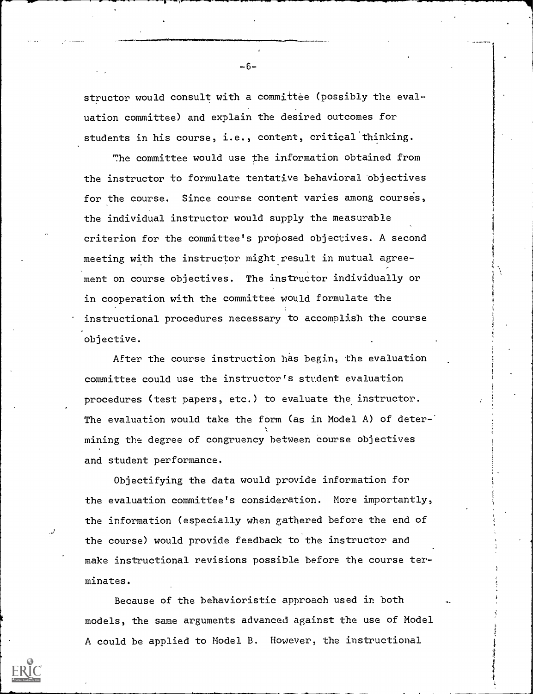structor would consult with a committee (possibly the evaluation committee) and explain the desired outcomes for students in his course, i.e., content, critical thinking.

The committee would use the information obtained from the instructor to formulate tentative behavioral objectives for the course. Since course content varies among courses, the individual instructor would supply the measurable criterion for the committee's proposed objectives. A second meeting with the instructor might result in mutual agreement on course objectives. The instructor individually or in cooperation with the committee would formulate the instructional procedures necessary to accomplish the course objective.

After the course instruction has begin, the evaluation committee could use the instructor's student evaluation procedures (test papers, etc.) to evaluate the instructor. The evaluation would take the form (as in Model A) of deter-' mining the degree of congruency between course objectives and student performance.

Objectifying the data would provide information for the evaluation committee's consideration. More importantly, the information (especially when gathered before the end of the course) would provide feedback to the instructor and make instructional revisions possible before the course terminates.

Because of the behavioristic approach used in both models, the same arguments advanced against the use of Model A could be applied to Model B. However, the instructional

-6--

the contract of the contract of the contract of the contract of the contract of the contract of the contract of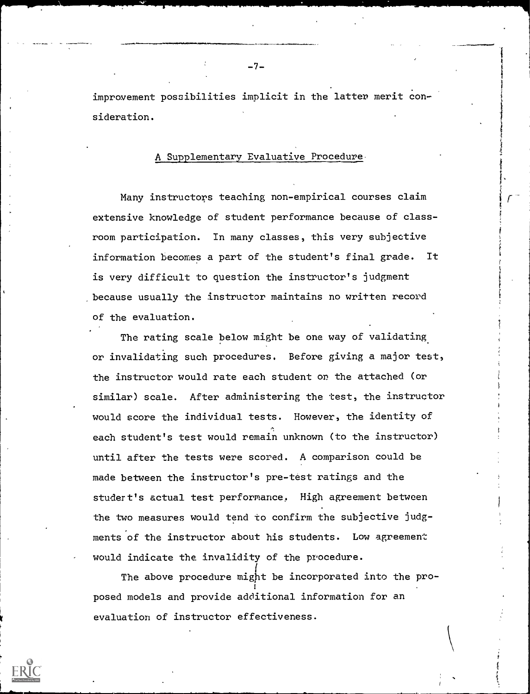improvement possibilities implicit in the latter merit consideration.

# A Supplementary Evaluative Procedure.

Many instructors teaching non-empirical courses claim extensive knowledge of student performance because of classroom participation. In many classes, this very subjective information becomes a part of the student's final grade. It is very difficult to question the instructor's judgment because usually the instructor maintains no written record of the evaluation.

r

The rating scale below might be one way of validating or invalidating such procedures. Before giving a major test, the instructor would rate each student or the attached (or similar) scale. After administering the test, the instructor would score the individual tests. However, the identity of each student's test would remain unknown (to the instructor) until after the tests were scored. A comparison could be made between the instructor's pre-test ratings and the studert's actual test performance. High agreement between the two measures would tend to confirm the subjective judgments of the instructor about his students. Low agreement would indicate the invalidity of the procedure.

The above procedure might be incorporated into the pro- : posed models and provide additional information for an evaluation of instructor effectiveness.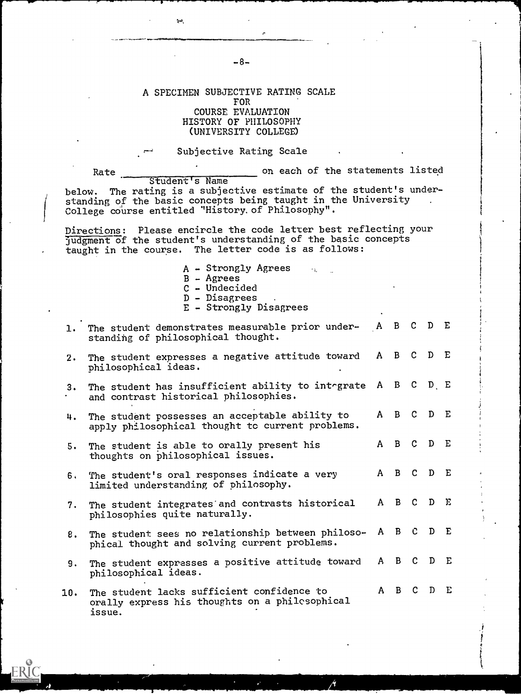### A SPECIMEN SUBJECTIVE RATING SCALE FOR COURSE EVALUATION HISTORY OF PHILOSOPHY (UNIVERSITY COLLEGE)

Subjective Rating Scale

Rate **comes and the statements** listed

Student's Name below. The rating is a subjective estimate of the student's understanding of the basic concepts being taught in the University College course entitled "History. of Philosophy".

Directions: Please encircle the code letter best reflecting your judgment of the student's understanding of the basic concepts taught in the course. The letter code is as follows:

- $A -$  Strongly Agrees  $\alpha$
- B Agrees
- C Undecided
- D Disagrees
- E Strongly Disagrees

| 1.  | The student demonstrates measurable prior under- A B C D E<br>standing of philosophical thought.       |           |  |   |  |
|-----|--------------------------------------------------------------------------------------------------------|-----------|--|---|--|
| 2.  | The student expresses a negative attitude toward A B C D E<br>philosophical ideas.                     |           |  |   |  |
| 3.  | The student has insufficient ability to integrate A B C D E<br>and contrast historical philosophies.   |           |  |   |  |
| 4.  | The student possesses an acceptable ability to<br>apply philosophical thought to current problems.     | A B C D E |  |   |  |
| 5.  | The student is able to orally present his<br>thoughts on philosophical issues.                         | A B C D E |  |   |  |
| 6.  | The student's oral responses indicate a very<br>limited understanding of philosophy.                   | A B C D E |  |   |  |
| 7.  | The student integrates and contrasts historical<br>philosophies quite naturally.                       | A B C D E |  |   |  |
| 8.  | The student sees no relationship between philoso-<br>phical thought and solving current problems.      | A B C D E |  |   |  |
| 9.  | The student expresses a positive attitude toward A B C D E<br>philosophical ideas.                     |           |  |   |  |
| 10. | The student lacks sufficient confidence to<br>orally express his thoughts on a philesophical<br>issue. | A B C D   |  | E |  |

-8-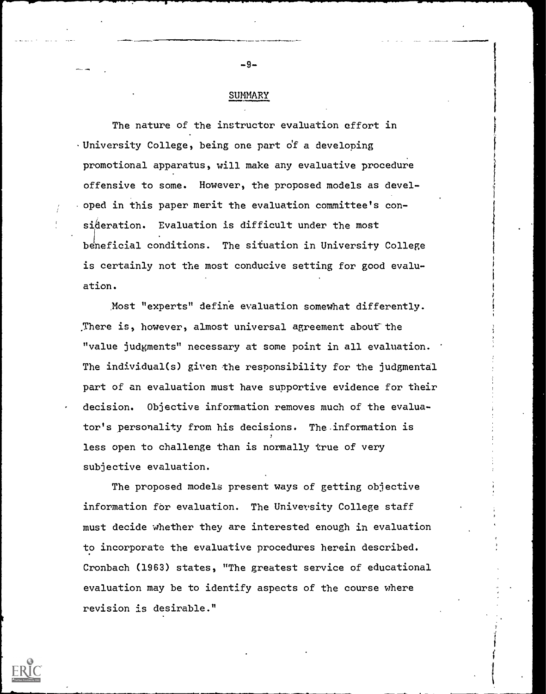## SUMMARY

The nature of the instructor evaluation effort in . University College, being one part o'f a developing promotional apparatus, will make any evaluative procedure offensive to some. However, the proposed models as developed in this paper merit the evaluation committee's consideration. Evaluation is difficult under the most beneficial conditions. The situation in University College is certainly not the most conducive setting for good evaluation.

Most "experts" define evaluation somewhat differently. There is, however, almost universal agreement about the "value judgments" necessary at some point in all evaluation. The individual(s) given the responsibility for the judgmental part of an evaluation must have supportive evidence for their decision. Objective information removes much of the evaluator's personality from his decisions. The information is less open to challenge than is normally true of very subjective evaluation.

The proposed models present ways of getting objective information for evaluation. The University College staff must decide whether they are interested enough in evaluation to incorporate the evaluative procedures herein described. Cronbach (1963) states, "The greatest service of educational evaluation may be to identify aspects of the course where revision is desirable."



 $-9-$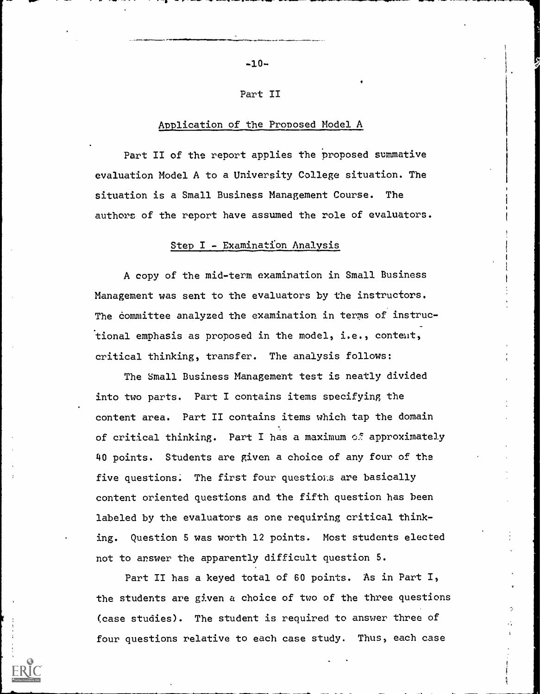$-10-$ 

#### Part II

### Application of the Proposed Model A

Part II of the report applies the proposed summative evaluation Model A to a University College situation. The situation is a Small Business Management Course. The authors of the report have assumed the role of evaluators.

## Step I - Examination Analysis

A copy of the mid-term examination in Small Business Management was sent to the evaluators by the instructors. The committee analyzed the examination in terms of instructional emphasis as proposed in the model, i.e., content, critical thinking, transfer. The analysis follows:

The Small Business Management test is neatly divided into two parts. Part I contains items specifying the content area. Part II contains items which tap the domain of critical thinking. Part I has a maximum of approximately 40 points. Students are given a choice of any four of the five questions. The first four questions are basically content oriented questions and the fifth question has been labeled by the evaluators as one requiring critical thinking. Question 5 was worth 12 points. Most students elected not to answer the apparently difficult question 5.

Part II has a keyed total of 60 points. As in Part I, the students are given a choice of two of the three questions (case studies). The student is required to answer three of four questions relative to each case study. Thus, each case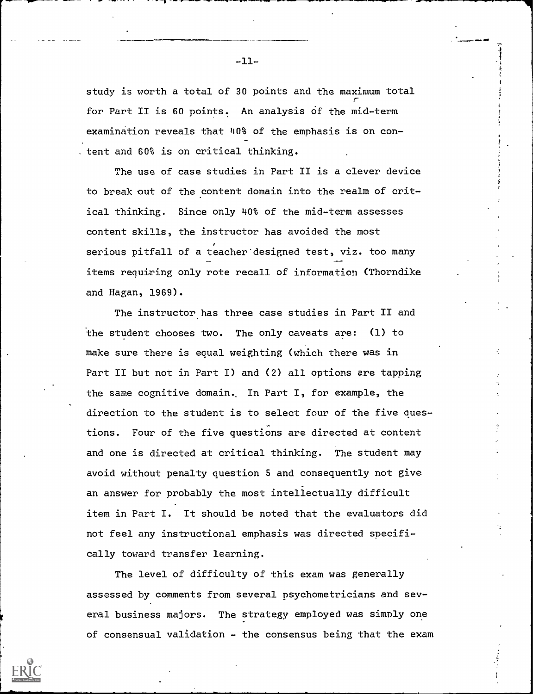study is worth a total of 30 points and the maximum total r for Part II is 60 points. An analysis of the mid-term examination reveals that 40% of the emphasis is on con- . tent and 60% is on critical thinking.

1

The use of case studies in Part II is a clever device to break out of the content domain into the realm of critical thinking. Since only 40% of the mid-term assesses content skills, the instructor has avoided the most serious pitfall of a teacher designed test, viz. too many items requiring only rote recall of information (Thorndike and Hagan, 1969).

The instructor has three case studies in Part II and the student chooses two. The only caveats are: (1) to make sure there is equal weighting (which there was in Part II but not in Part I) and (2) all options are tapping the same cognitive domain.. In Part I, for example, the direction to the student is to select four of the five questions. Four of the five questions are directed at content and one is directed at critical thinking. The student may avoid without penalty question 5 and consequently not give an answer for probably the most intellectually difficult item in Part I. It should be noted that the evaluators did not feel any instructional emphasis was directed specifically toward transfer learning.

The level of difficulty of this exam was generally assessed by comments from several psychometricians and several business majors. The strategy employed was simply one of consensual validation - the consensus being that the exam

 $-11-$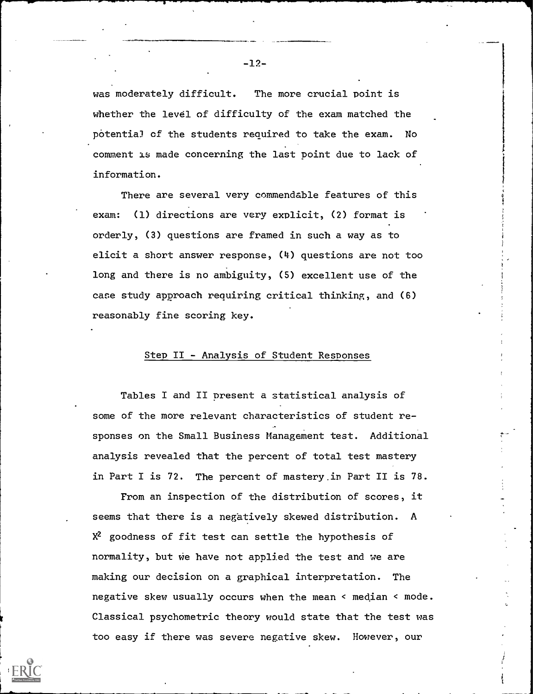whether the level of difficulty of the exam matched the potentia) of the students required to take the exam. No comment Is made concerning the last point due to lack of information.

There are several very commendable features of this exam: (1) directions are very explicit, (2) format is orderly, (3) questions are framed in such a way as to elicit a short answer response, (4) questions are not too long and there is no ambiguity, (5) excellent use of the case study approach requiring critical thinking, and (6) reasonably fine scoring key.

### Step II - Analysis of Student Responses

Tables I and II present a statistical analysis of some of the more relevant characteristics of student responses on the Small Business Management test. Additional analysis revealed that the percent of total test mastery in Part I is 72. The percent of mastery.in Part II is 78.

From an inspection of the distribution of scores, it seems that there is a negatively skewed distribution. A  $X^2$  goodness of fit test can settle the hypothesis of normality, but we have not applied the test and we are making our decision on a graphical interpretation. The negative skew usually occurs when the mean < median < mode. Classical psychometric theory would state that the test was too easy if there was severe negative skew. However, our

-12-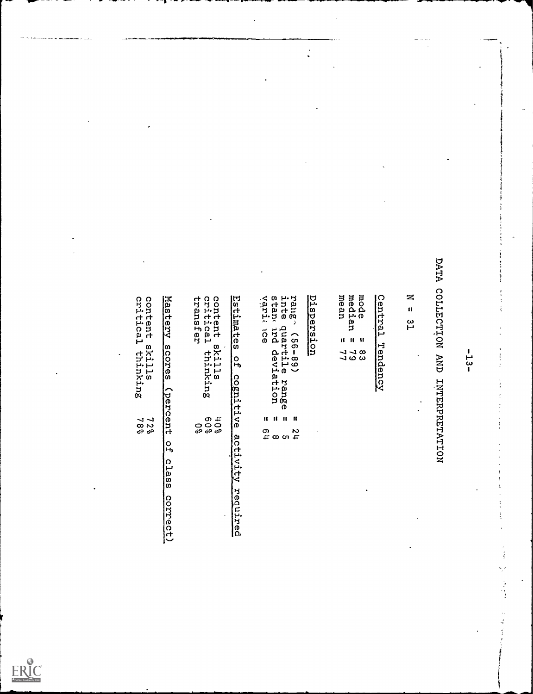$\frac{1}{2}$ rje<br>1

 $\mathcal{L}$ 

1

|    | mode<br>medi<br>mean<br>ρ<br>5 |     |
|----|--------------------------------|-----|
| Ħ. | -11                            | -11 |
|    | 8<br>2<br>2<br>2<br>2<br>2     |     |

 $\ddot{\cdot}$ 

|                                                                  |                                                                                   |                                                                                           |                                                                             |                                                                                                                                                                                                             |            |                                                       |                         |                          | DATA                                             |                     |   |  |
|------------------------------------------------------------------|-----------------------------------------------------------------------------------|-------------------------------------------------------------------------------------------|-----------------------------------------------------------------------------|-------------------------------------------------------------------------------------------------------------------------------------------------------------------------------------------------------------|------------|-------------------------------------------------------|-------------------------|--------------------------|--------------------------------------------------|---------------------|---|--|
| content :<br>critical<br>skills<br>1 thinking<br>$7287$<br>$789$ | Mastery<br>sores<br>(percent<br>o<br>Fo<br>$\Omega$<br>1as<br><b>G</b><br>correct | transf<br>content :<br>critical<br><b>Q7</b><br>skills<br>L thinking<br>49<br>000<br>0989 | Estimate<br>ິທ<br>o<br>Ĥ<br>cognitiv<br>$\mathbf 0$<br>activity<br>required | stan<br>varia<br>rang<br>inte<br>$\lambda$<br>cose-ses)<br>duartile<br>and devis<br>ი<br>მ<br>p rang<br>lation<br>$\overline{0}$<br>$\mathbf{H}$<br><b>A</b><br>$\mathbf{u}$<br>11<br>$128$<br>$72$<br>$72$ | Dispersion | mode<br>median<br>mean<br>11 11 H<br>ه ب ب<br>ما ده د | Central<br>囗<br>endency | z<br>$\mathbf{u}$<br>ပို | COLLECTION<br><b>ANA</b><br><b>HNHRFARHAHHON</b> | 1<br>د_ع<br>ဖြ<br>1 | X |  |

| pntent<br>ritical<br>ransfer | skills<br>thinking   |  |
|------------------------------|----------------------|--|
|                              | 3<br>000<br>39<br>39 |  |

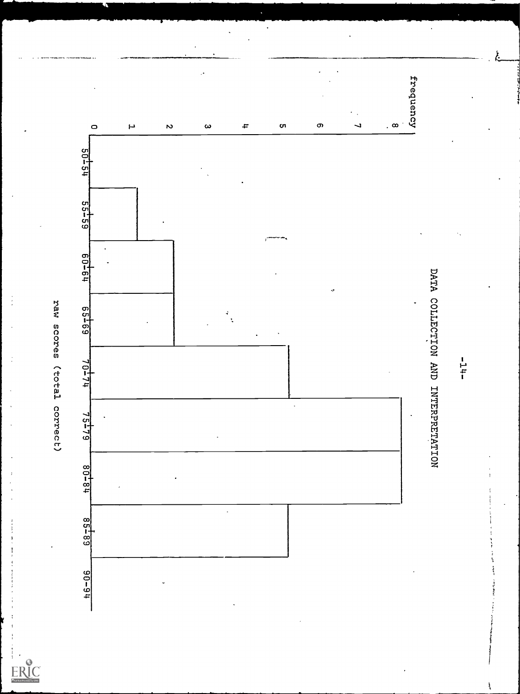$\cdot$ 

ERIC

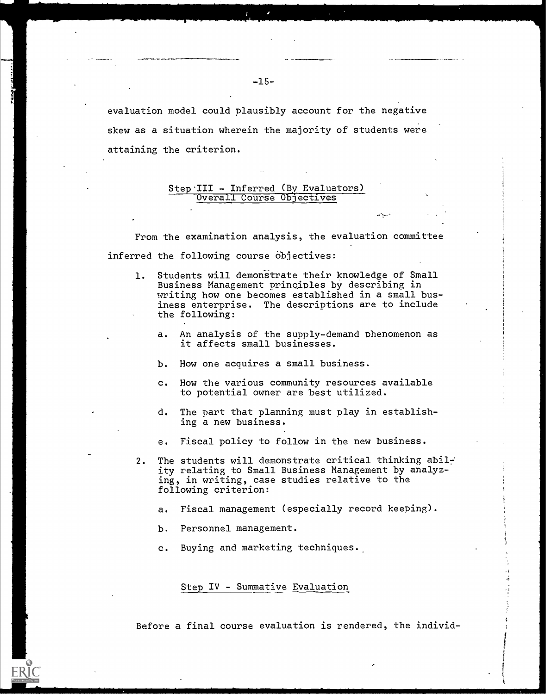evaluation model could plausibly account for the negative skew as a situation wherein the majority of students were attaining the criterion.

#### Step-III - Inferred (By Evaluators) Overall Course Objectives

From the examination analysis, the evaluation committee inferred the following course objectives:

- 1. Students will demonstrate their knowledge of Small Business Management principles by describing in writing how one becomes established in a small business enterprise. The descriptions are to include the following:
	- a. An analysis of the supply-demand phenomenon as it affects small businesses.
	- b. How one acquires a small business.
	- c. How the various community resources available to potential owner are best utilized.
	- d. The part that planning must play in establishing a new business.
	- e. Fiscal policy to follow in the new business.
- 2. The students will demonstrate critical thinking abilr' ity relating to Small Business Management by analyzing, in writing, case studies relative to the following criterion:
	- a. Fiscal management (especially record keeping).
	- b. Personnel management.
	- c. Buying and marketing techniques.

Step IV - Summative Evaluation

Before a final course evaluation is rendered, the individ-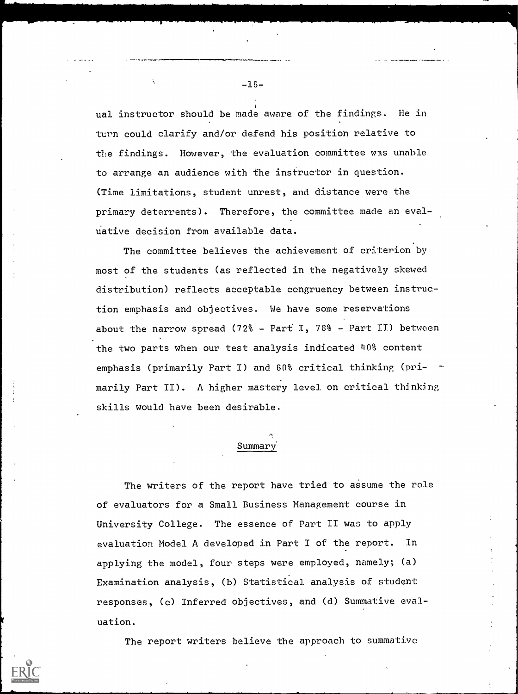ual instructor should be made aware of the findings. He in turn could clarify and/or defend his position relative to the findings. However, the evaluation committee was unable to arrange an audience with the instructor in question. (Time limitations, student unrest, and distance were the primary deterrents). Therefore, the committee made an evaluative decision from available data.

The committee believes the achievement of criterion by most of the students (as reflected in the negatively skewed distribution) reflects acceptable congruency between instruction emphasis and objectives. We have some reservations about the narrow spread (72% - Part I, 78% - Part II) between the two parts when our test analysis indicated 40% content emphasis (primarily Part I) and 60% critical thinking (pri- marily Part II). A higher mastery level on critical thinking skills would have been desirable.

# Summary'

The writers of the report have tried to assume the role of evaluators for a Small Business Management course in University College. The essence of Part II was to apply evaluation Model A developed in Part I of the report. In applying the model, four steps were employed, namely; (a) Examination analysis, (b) Statistical analysis of student responses, (c) Inferred objectives, and (d) Summative evaluation.

The report writers believe the approach to summative

-16-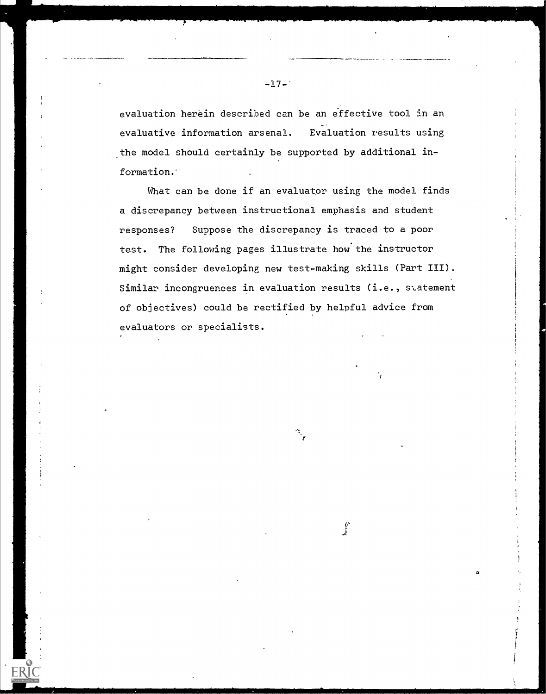evaluation herein described can be an effective tool in an evaluative information arsenal. Evaluation results using the model should certainly be supported by additional information.

What can be done if an evaluator using the model finds a discrepancy between instructional emphasis and student responses? Suppose the discrepancy is traced to a poor test. The following pages illustrate how the instructor might consider developing new test-making skills (Part III). Similar incongruences in evaluation results (i.e., statement of objectives) could be rectified by helpful advice from evaluators or specialists.

**ERIC** 

ir

.

4'

 $-17-$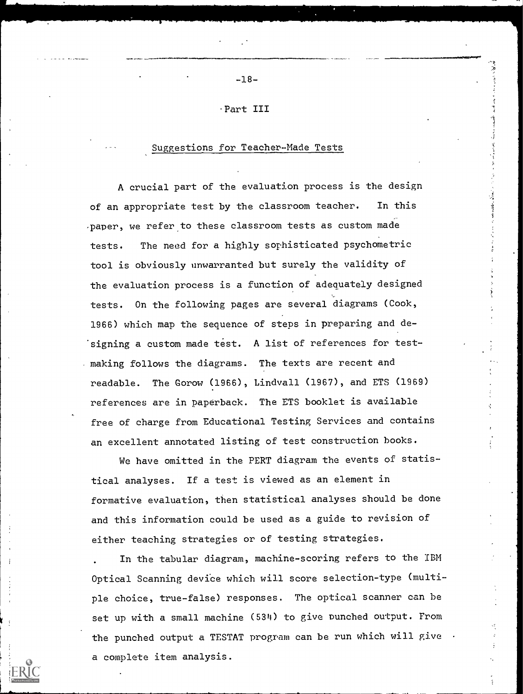Part III

-18-

## Suggestions for Teacher-Made Tests

A crucial part of the evaluation process is the design of an appropriate test by the classroom teacher. In this ,paper, we refer to these classroom tests as custom made tests. The need for a highly sophisticated psychometric tool is obviously unwarranted but surely the validity of the evaluation process is a function of adequately designed tests. On the following pages are several diagrams (Cook, 1966) which map the sequence of steps in preparing and designing a custom made test. A list of references for testmaking follows the diagrams. The texts are recent and readable. The Gorow (1966), Lindvall (1967), and ETS (1969) references are in paperback. The ETS booklet is available free of charge from Educational Testing Services and contains an excellent annotated listing of test construction books.

We have omitted in the PERT diagram the events of statistical analyses. If a test is viewed as an element in formative evaluation, then statistical analyses should be done and this information could be used as a guide to revision of either teaching strategies or of testing strategies.

In the tabular diagram, machine-scoring refers to the IBM Optical Scanning device which will score selection-type (multiple choice, true-false) responses. The optical scanner can be set up with a small machine (534) to give Punched output. From the punched output a TESTAT program can be run which will give  $\cdot$ a complete item analysis.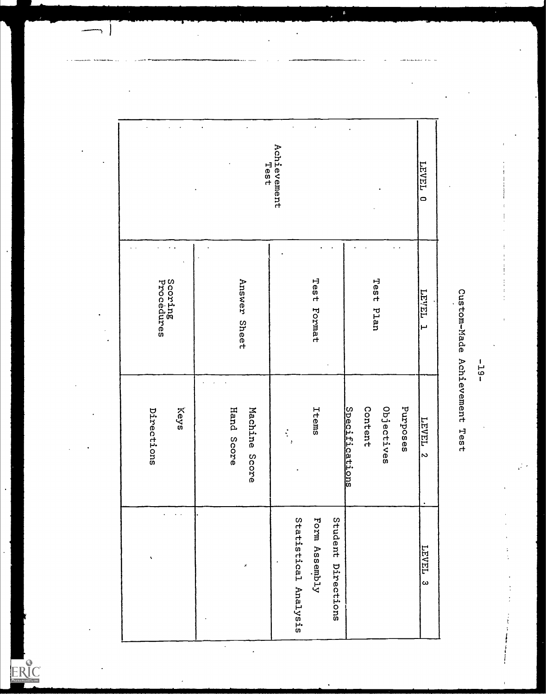|                                       | Test                        | Achievement                                                 |                                                     | <b>LEVEL</b><br>$\circ$        |                              |
|---------------------------------------|-----------------------------|-------------------------------------------------------------|-----------------------------------------------------|--------------------------------|------------------------------|
| Scoring<br>Procedures<br>Answer Sheet |                             | Test Format                                                 | Test Plan                                           | TEART<br>Ē                     |                              |
| Keys<br>Directions                    | Hand Score<br>Machine Score | Items<br>$\ddot{\cdot}$<br>Ņ                                | Content<br>Objectives<br>Purposes<br>Specifications | <b>TEAET</b><br>$\overline{c}$ | Custom-Made Achievement Test |
| v                                     | $\mathcal{S}$               | Statistical Analysis<br>Student Directions<br>Form Assembly |                                                     | LEVEL <sub>3</sub>             |                              |

 $\overline{\phantom{a}}$ 

 $\overline{\phantom{a}}$ 

 $\ddot{\phantom{0}}$ 

.

 $\longrightarrow$ 

ERIC

-19-<br>Custom-Made Achievement Test

する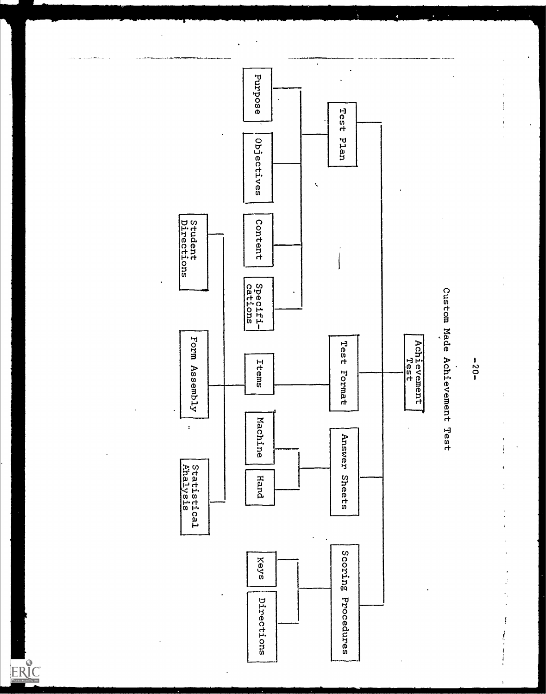...



ERIC

 $\cdot$  $\frac{1}{2}$ 

 $\ddot{\cdot}$ 

i<br>Participation

 $\ddot{\phantom{0}}$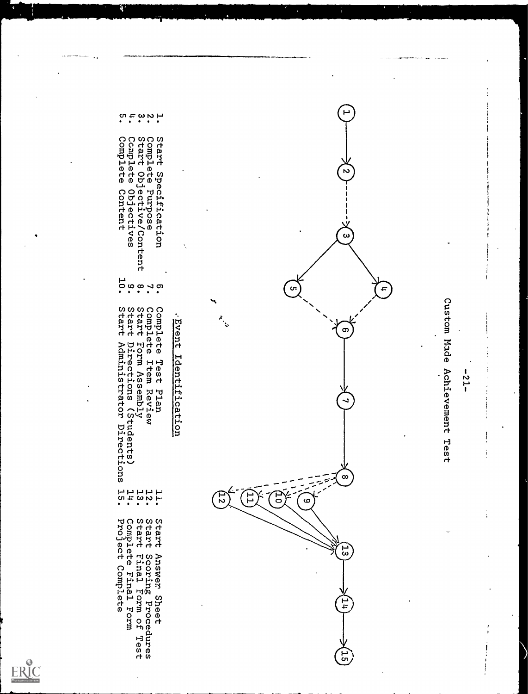



- 
- 
- 
- Complete Objectives
- Complete Content
- $13.$
- $\begin{array}{c} 11 \\ 24 \\ 15 \end{array}$ Complete Final Form<br>Project Complete Start Scoring Procedures<br>Start Final Form of Test

li.

Start Answer Sheet

ERIC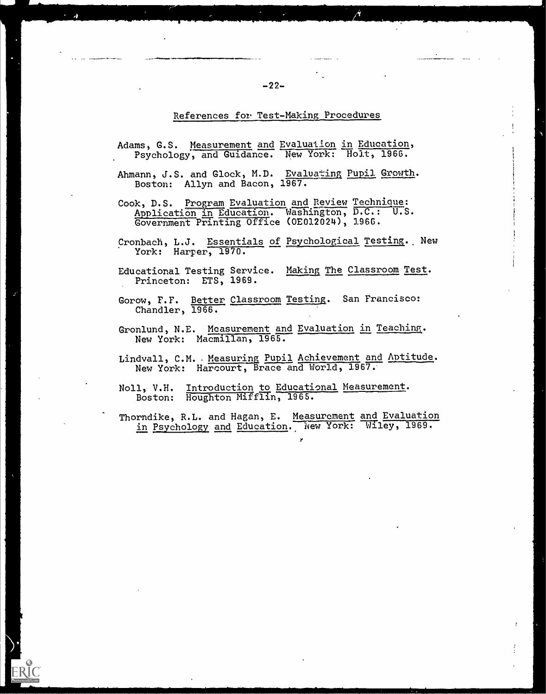### References for Test-Making Procedures

- Adams, G.S. Measurement and Evaluation in Education, Psychology, and Guidance. New York: Holt, 1966.
- Ahmann, J.S. and Glock, M.D. Evaluating Pupil Growth. Boston: Allyn and Bacon, 1967.
- Cook, D.S. Program Evaluation and Review Techniaue: Application In Education. Washington, D.C.: U.S. Government Printing Office (0E012024), 1966.
- Cronbach, L.J. Essentials of Psychological Testing. New York: Harper, 1970.
- Educational Testing Service. Making The Classroom Test. Princeton: ETS, 1969.
- Gorow, F.F. Better Classroom Testing. San Francisco: Chandler, 1966.
- Gronlund, N.E. Measurement and Evaluation in Teaching. New York: Macmillan, 1965.
- Lindvall, C.M. . Measuring Pupil Achievement and Aptitude. New York: Harcourt, Brace and World, 1967.
- Noll, V.H. Introduction to Educational Measurement. Boston: Houghton Mifflin, 1965.
- Thorndike, R.L. and Hagan, E. Measurement and Evaluation in Psychology and Education. New York: Wiley, 1969.